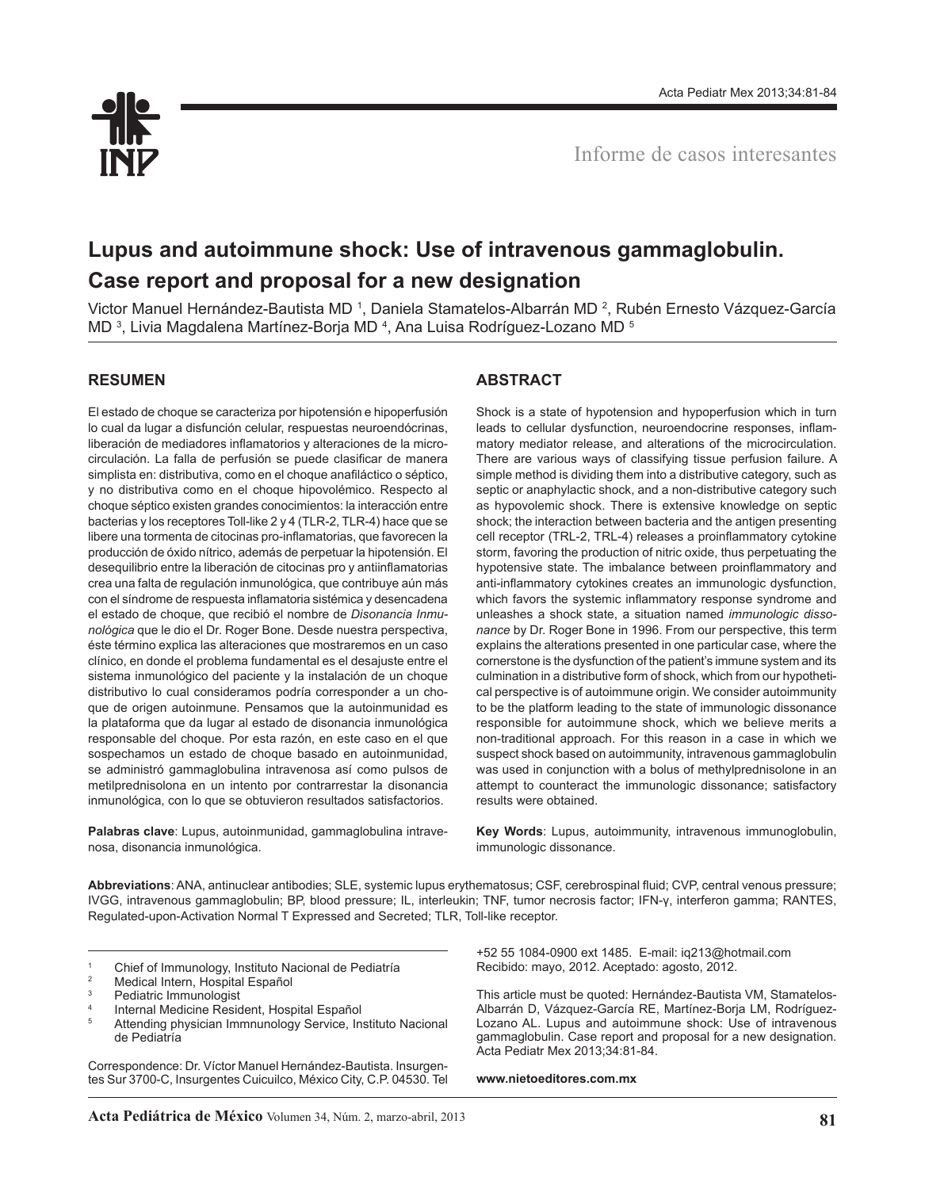

# **Lupus and autoimmune shock: Use of intravenous gammaglobulin. Case report and proposal for a new designation**

Victor Manuel Hernández-Bautista MD <sup>1</sup>, Daniela Stamatelos-Albarrán MD <sup>2</sup>, Rubén Ernesto Vázquez-García MD <sup>3</sup>, Livia Magdalena Martínez-Borja MD <sup>4</sup>, Ana Luisa Rodríguez-Lozano MD <sup>5</sup>

## **RESUMEN**

El estado de choque se caracteriza por hipotensión e hipoperfusión lo cual da lugar a disfunción celular, respuestas neuroendócrinas, liberación de mediadores inflamatorios y alteraciones de la microcirculación. La falla de perfusión se puede clasificar de manera simplista en: distributiva, como en el choque anafiláctico o séptico, y no distributiva como en el choque hipovolémico. Respecto al choque séptico existen grandes conocimientos: la interacción entre bacterias y los receptores Toll-like 2 y 4 (TLR-2, TLR-4) hace que se libere una tormenta de citocinas pro-inflamatorias, que favorecen la producción de óxido nítrico, además de perpetuar la hipotensión. El desequilibrio entre la liberación de citocinas pro y antiinflamatorias crea una falta de regulación inmunológica, que contribuye aún más con el síndrome de respuesta inflamatoria sistémica y desencadena el estado de choque, que recibió el nombre de *Disonancia Inmunológica* que le dio el Dr. Roger Bone. Desde nuestra perspectiva, éste término explica las alteraciones que mostraremos en un caso clínico, en donde el problema fundamental es el desajuste entre el sistema inmunológico del paciente y la instalación de un choque distributivo lo cual consideramos podría corresponder a un choque de origen autoinmune. Pensamos que la autoinmunidad es la plataforma que da lugar al estado de disonancia inmunológica responsable del choque. Por esta razón, en este caso en el que sospechamos un estado de choque basado en autoinmunidad, se administró gammaglobulina intravenosa así como pulsos de metilprednisolona en un intento por contrarrestar la disonancia inmunológica, con lo que se obtuvieron resultados satisfactorios.

**Palabras clave**: Lupus, autoinmunidad, gammaglobulina intravenosa, disonancia inmunológica.

## **ABSTRACT**

Shock is a state of hypotension and hypoperfusion which in turn leads to cellular dysfunction, neuroendocrine responses, inflammatory mediator release, and alterations of the microcirculation. There are various ways of classifying tissue perfusion failure. A simple method is dividing them into a distributive category, such as septic or anaphylactic shock, and a non-distributive category such as hypovolemic shock. There is extensive knowledge on septic shock; the interaction between bacteria and the antigen presenting cell receptor (TRL-2, TRL-4) releases a proinflammatory cytokine storm, favoring the production of nitric oxide, thus perpetuating the hypotensive state. The imbalance between proinflammatory and anti-inflammatory cytokines creates an immunologic dysfunction, which favors the systemic inflammatory response syndrome and unleashes a shock state, a situation named *immunologic dissonance* by Dr. Roger Bone in 1996. From our perspective, this term explains the alterations presented in one particular case, where the cornerstone is the dysfunction of the patient's immune system and its culmination in a distributive form of shock, which from our hypothetical perspective is of autoimmune origin. We consider autoimmunity to be the platform leading to the state of immunologic dissonance responsible for autoimmune shock, which we believe merits a non-traditional approach. For this reason in a case in which we suspect shock based on autoimmunity, intravenous gammaglobulin was used in conjunction with a bolus of methylprednisolone in an attempt to counteract the immunologic dissonance; satisfactory results were obtained.

**Key Words**: Lupus, autoimmunity, intravenous immunoglobulin, immunologic dissonance.

**Abbreviations**: ANA, antinuclear antibodies; SLE, systemic lupus erythematosus; CSF, cerebrospinal fluid; CVP, central venous pressure; IVGG, intravenous gammaglobulin; BP, blood pressure; IL, interleukin; TNF, tumor necrosis factor; IFN-γ, interferon gamma; RANTES, Regulated-upon-Activation Normal T Expressed and Secreted; TLR, Toll-like receptor.

1 Chief of Immunology, Instituto Nacional de Pediatría<br>
<sup>2</sup> Medical Intern, Hospital Español<br>
<sup>3</sup> Pediatric Immunologist

- 
- Internal Medicine Resident, Hospital Español
- Attending physician Immnunology Service, Instituto Nacional de Pediatría

Correspondence: Dr. Víctor Manuel Hernández-Bautista. Insurgentes Sur 3700-C, Insurgentes Cuicuilco, México City, C.P. 04530. Tel

+52 55 1084-0900 ext 1485. E-mail: iq213@hotmail.com Recibido: mayo, 2012. Aceptado: agosto, 2012.

This article must be quoted: Hernández-Bautista VM, Stamatelos-Albarrán D, Vázquez-García RE, Martínez-Borja LM, Rodríguez-Lozano AL. Lupus and autoimmune shock: Use of intravenous gammaglobulin. Case report and proposal for a new designation. Acta Pediatr Mex 2013;34:81-84.

**www.nietoeditores.com.mx**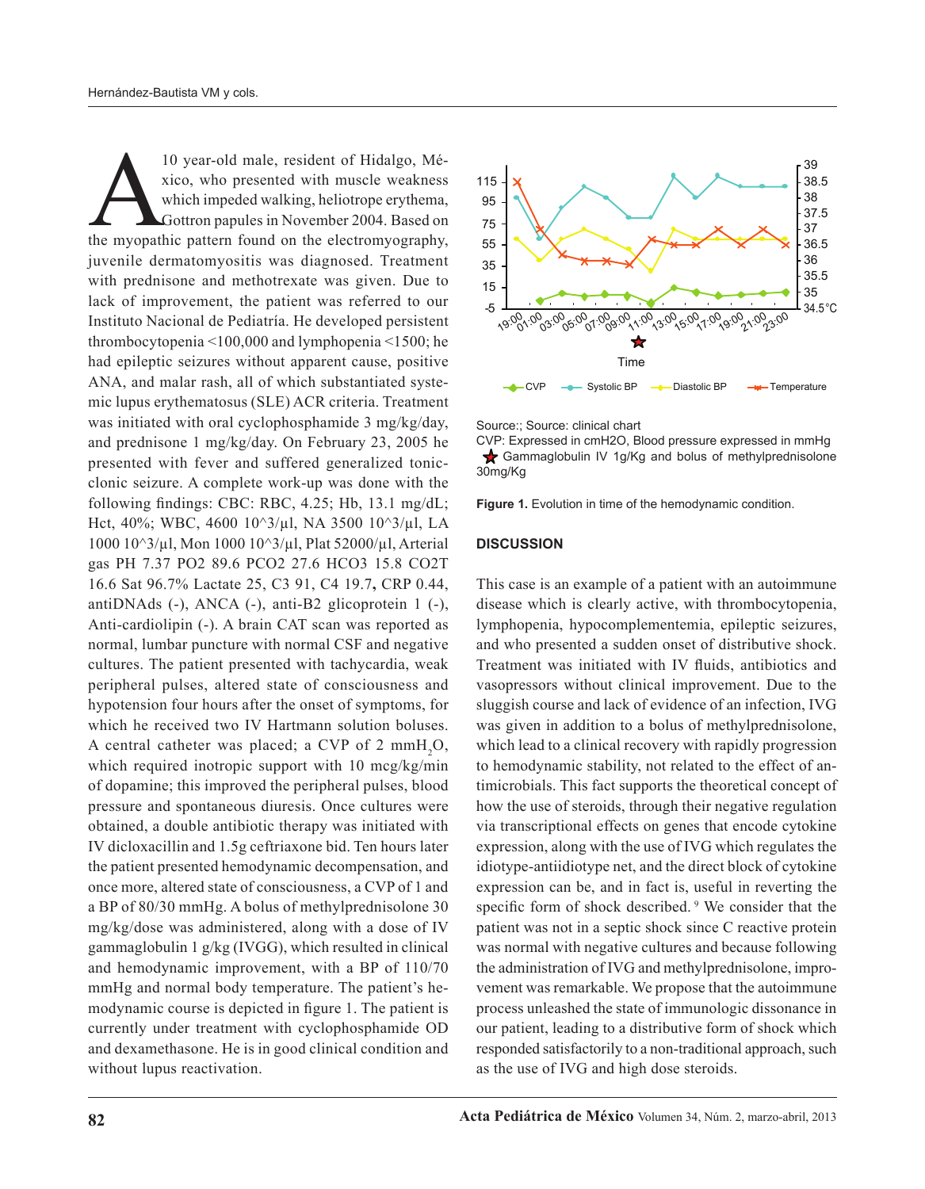10 year-old male, resident of Hidalgo, Mé-<br>xico, who presented with muscle weakness<br>which impeded walking, heliotrope erythema,<br>Gottron papules in November 2004. Based on<br>the myopathic pattern found on the electromyography xico, who presented with muscle weakness which impeded walking, heliotrope erythema, Gottron papules in November 2004. Based on juvenile dermatomyositis was diagnosed. Treatment with prednisone and methotrexate was given. Due to lack of improvement, the patient was referred to our Instituto Nacional de Pediatría. He developed persistent thrombocytopenia <100,000 and lymphopenia <1500; he had epileptic seizures without apparent cause, positive ANA, and malar rash, all of which substantiated systemic lupus erythematosus (SLE) ACR criteria. Treatment was initiated with oral cyclophosphamide 3 mg/kg/day, and prednisone 1 mg/kg/day. On February 23, 2005 he presented with fever and suffered generalized tonicclonic seizure. A complete work-up was done with the following findings: CBC: RBC, 4.25; Hb, 13.1 mg/dL; Hct, 40%; WBC, 4600 10^3/µl, NA 3500 10^3/µl, LA 1000 10^3/µl, Mon 1000 10^3/µl, Plat 52000/µl, Arterial gas PH 7.37 PO2 89.6 PCO2 27.6 HCO3 15.8 CO2T 16.6 Sat 96.7% Lactate 25, C3 91, C4 19.7**,** CRP 0.44, antiDNAds (-), ANCA (-), anti-B2 glicoprotein 1 (-), Anti-cardiolipin (-). A brain CAT scan was reported as normal, lumbar puncture with normal CSF and negative cultures. The patient presented with tachycardia, weak peripheral pulses, altered state of consciousness and hypotension four hours after the onset of symptoms, for which he received two IV Hartmann solution boluses. A central catheter was placed; a CVP of 2  $mmH_2O$ , which required inotropic support with 10 mcg/kg/min of dopamine; this improved the peripheral pulses, blood pressure and spontaneous diuresis. Once cultures were obtained, a double antibiotic therapy was initiated with IV dicloxacillin and 1.5g ceftriaxone bid. Ten hours later the patient presented hemodynamic decompensation, and once more, altered state of consciousness, a CVP of 1 and a BP of 80/30 mmHg. A bolus of methylprednisolone 30 mg/kg/dose was administered, along with a dose of IV gammaglobulin 1 g/kg (IVGG), which resulted in clinical and hemodynamic improvement, with a BP of 110/70 mmHg and normal body temperature. The patient's hemodynamic course is depicted in figure 1. The patient is currently under treatment with cyclophosphamide OD and dexamethasone. He is in good clinical condition and without lupus reactivation.





CVP: Expressed in cmH2O, Blood pressure expressed in mmHg Gammaglobulin IV 1g/Kg and bolus of methylprednisolone 30mg/Kg

**Figure 1.** Evolution in time of the hemodynamic condition.

#### **DISCUSSION**

This case is an example of a patient with an autoimmune disease which is clearly active, with thrombocytopenia, lymphopenia, hypocomplementemia, epileptic seizures, and who presented a sudden onset of distributive shock. Treatment was initiated with IV fluids, antibiotics and vasopressors without clinical improvement. Due to the sluggish course and lack of evidence of an infection, IVG was given in addition to a bolus of methylprednisolone, which lead to a clinical recovery with rapidly progression to hemodynamic stability, not related to the effect of antimicrobials. This fact supports the theoretical concept of how the use of steroids, through their negative regulation via transcriptional effects on genes that encode cytokine expression, along with the use of IVG which regulates the idiotype-antiidiotype net, and the direct block of cytokine expression can be, and in fact is, useful in reverting the specific form of shock described.<sup>9</sup> We consider that the patient was not in a septic shock since C reactive protein was normal with negative cultures and because following the administration of IVG and methylprednisolone, improvement was remarkable. We propose that the autoimmune process unleashed the state of immunologic dissonance in our patient, leading to a distributive form of shock which responded satisfactorily to a non-traditional approach, such as the use of IVG and high dose steroids.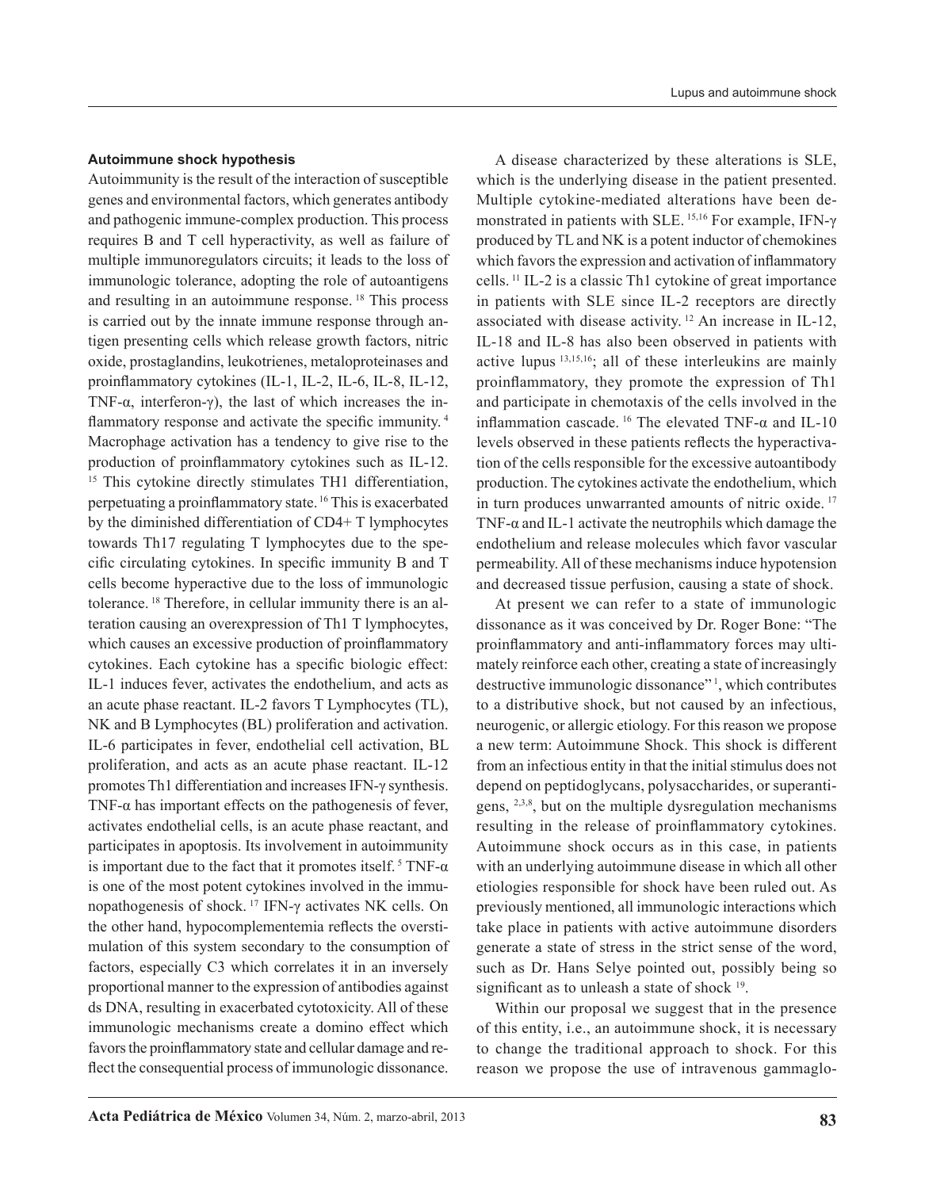### **Autoimmune shock hypothesis**

Autoimmunity is the result of the interaction of susceptible genes and environmental factors, which generates antibody and pathogenic immune-complex production. This process requires B and T cell hyperactivity, as well as failure of multiple immunoregulators circuits; it leads to the loss of immunologic tolerance, adopting the role of autoantigens and resulting in an autoimmune response. 18 This process is carried out by the innate immune response through antigen presenting cells which release growth factors, nitric oxide, prostaglandins, leukotrienes, metaloproteinases and proinflammatory cytokines (IL-1, IL-2, IL-6, IL-8, IL-12, TNF- $\alpha$ , interferon- $\gamma$ ), the last of which increases the inflammatory response and activate the specific immunity.<sup>4</sup> Macrophage activation has a tendency to give rise to the production of proinflammatory cytokines such as IL-12. <sup>15</sup> This cytokine directly stimulates TH1 differentiation, perpetuating a proinflammatory state. 16 This is exacerbated by the diminished differentiation of CD4+ T lymphocytes towards Th17 regulating T lymphocytes due to the specific circulating cytokines. In specific immunity B and T cells become hyperactive due to the loss of immunologic tolerance. 18 Therefore, in cellular immunity there is an alteration causing an overexpression of Th1 T lymphocytes, which causes an excessive production of proinflammatory cytokines. Each cytokine has a specific biologic effect: IL-1 induces fever, activates the endothelium, and acts as an acute phase reactant. IL-2 favors T Lymphocytes (TL), NK and B Lymphocytes (BL) proliferation and activation. IL-6 participates in fever, endothelial cell activation, BL proliferation, and acts as an acute phase reactant. IL-12 promotes Th1 differentiation and increases IFN-γ synthesis. TNF- $\alpha$  has important effects on the pathogenesis of fever, activates endothelial cells, is an acute phase reactant, and participates in apoptosis. Its involvement in autoimmunity is important due to the fact that it promotes itself.  $5$  TNF- $\alpha$ is one of the most potent cytokines involved in the immunopathogenesis of shock. 17 IFN-γ activates NK cells. On the other hand, hypocomplementemia reflects the overstimulation of this system secondary to the consumption of factors, especially C3 which correlates it in an inversely proportional manner to the expression of antibodies against ds DNA, resulting in exacerbated cytotoxicity. All of these immunologic mechanisms create a domino effect which favors the proinflammatory state and cellular damage and reflect the consequential process of immunologic dissonance.

A disease characterized by these alterations is SLE, which is the underlying disease in the patient presented. Multiple cytokine-mediated alterations have been demonstrated in patients with SLE. 15,16 For example, IFN-γ produced by TL and NK is a potent inductor of chemokines which favors the expression and activation of inflammatory cells.<sup>11</sup> IL-2 is a classic Th1 cytokine of great importance in patients with SLE since IL-2 receptors are directly associated with disease activity. 12 An increase in IL-12, IL-18 and IL-8 has also been observed in patients with active lupus 13,15,16; all of these interleukins are mainly proinflammatory, they promote the expression of Th1 and participate in chemotaxis of the cells involved in the inflammation cascade. <sup>16</sup> The elevated TNF- $\alpha$  and IL-10 levels observed in these patients reflects the hyperactivation of the cells responsible for the excessive autoantibody production. The cytokines activate the endothelium, which in turn produces unwarranted amounts of nitric oxide. 17 TNF- $\alpha$  and IL-1 activate the neutrophils which damage the endothelium and release molecules which favor vascular permeability. All of these mechanisms induce hypotension and decreased tissue perfusion, causing a state of shock.

At present we can refer to a state of immunologic dissonance as it was conceived by Dr. Roger Bone: "The proinflammatory and anti-inflammatory forces may ultimately reinforce each other, creating a state of increasingly destructive immunologic dissonance"<sup>1</sup>, which contributes to a distributive shock, but not caused by an infectious, neurogenic, or allergic etiology. For this reason we propose a new term: Autoimmune Shock. This shock is different from an infectious entity in that the initial stimulus does not depend on peptidoglycans, polysaccharides, or superantigens, <sup>2,3,8</sup>, but on the multiple dysregulation mechanisms resulting in the release of proinflammatory cytokines. Autoimmune shock occurs as in this case, in patients with an underlying autoimmune disease in which all other etiologies responsible for shock have been ruled out. As previously mentioned, all immunologic interactions which take place in patients with active autoimmune disorders generate a state of stress in the strict sense of the word, such as Dr. Hans Selye pointed out, possibly being so significant as to unleash a state of shock <sup>19</sup>.

Within our proposal we suggest that in the presence of this entity, i.e., an autoimmune shock, it is necessary to change the traditional approach to shock. For this reason we propose the use of intravenous gammaglo